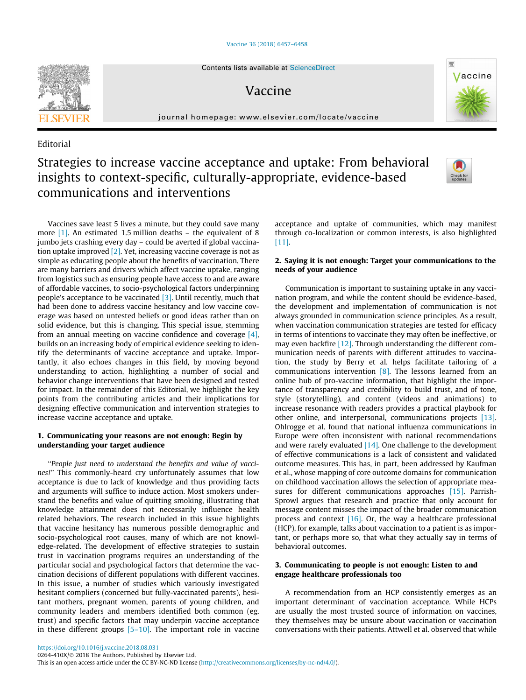#### [Vaccine 36 \(2018\) 6457–6458](https://doi.org/10.1016/j.vaccine.2018.08.031)



## Vaccine

journal homepage: [www.elsevier.com/locate/vaccine](http://www.elsevier.com/locate/vaccine)

### Editorial

# Strategies to increase vaccine acceptance and uptake: From behavioral insights to context-specific, culturally-appropriate, evidence-based communications and interventions



Vaccine

Vaccines save least 5 lives a minute, but they could save many more [\[1\].](#page-1-0) An estimated 1.5 million deaths – the equivalent of 8 jumbo jets crashing every day – could be averted if global vaccination uptake improved [\[2\].](#page-1-0) Yet, increasing vaccine coverage is not as simple as educating people about the benefits of vaccination. There are many barriers and drivers which affect vaccine uptake, ranging from logistics such as ensuring people have access to and are aware of affordable vaccines, to socio-psychological factors underpinning people's acceptance to be vaccinated  $[3]$ . Until recently, much that had been done to address vaccine hesitancy and low vaccine coverage was based on untested beliefs or good ideas rather than on solid evidence, but this is changing. This special issue, stemming from an annual meeting on vaccine confidence and coverage [\[4\],](#page-1-0) builds on an increasing body of empirical evidence seeking to identify the determinants of vaccine acceptance and uptake. Importantly, it also echoes changes in this field, by moving beyond understanding to action, highlighting a number of social and behavior change interventions that have been designed and tested for impact. In the remainder of this Editorial, we highlight the key points from the contributing articles and their implications for designing effective communication and intervention strategies to increase vaccine acceptance and uptake.

#### 1. Communicating your reasons are not enough: Begin by understanding your target audience

''People just need to understand the benefits and value of vaccines!" This commonly-heard cry unfortunately assumes that low acceptance is due to lack of knowledge and thus providing facts and arguments will suffice to induce action. Most smokers understand the benefits and value of quitting smoking, illustrating that knowledge attainment does not necessarily influence health related behaviors. The research included in this issue highlights that vaccine hesitancy has numerous possible demographic and socio-psychological root causes, many of which are not knowledge-related. The development of effective strategies to sustain trust in vaccination programs requires an understanding of the particular social and psychological factors that determine the vaccination decisions of different populations with different vaccines. In this issue, a number of studies which variously investigated hesitant compliers (concerned but fully-vaccinated parents), hesitant mothers, pregnant women, parents of young children, and community leaders and members identified both common (eg. trust) and specific factors that may underpin vaccine acceptance in these different groups  $[5-10]$ . The important role in vaccine

acceptance and uptake of communities, which may manifest through co-localization or common interests, is also highlighted [\[11\]](#page-1-0).

#### 2. Saying it is not enough: Target your communications to the needs of your audience

Communication is important to sustaining uptake in any vaccination program, and while the content should be evidence-based, the development and implementation of communication is not always grounded in communication science principles. As a result, when vaccination communication strategies are tested for efficacy in terms of intentions to vaccinate they may often be ineffective, or may even backfire [\[12\]](#page-1-0). Through understanding the different communication needs of parents with different attitudes to vaccination, the study by Berry et al. helps facilitate tailoring of a communications intervention [\[8\].](#page-1-0) The lessons learned from an online hub of pro-vaccine information, that highlight the importance of transparency and credibility to build trust, and of tone, style (storytelling), and content (videos and animations) to increase resonance with readers provides a practical playbook for other online, and interpersonal, communications projects [\[13\].](#page-1-0) Ohlrogge et al. found that national influenza communications in Europe were often inconsistent with national recommendations and were rarely evaluated  $[14]$ . One challenge to the development of effective communications is a lack of consistent and validated outcome measures. This has, in part, been addressed by Kaufman et al., whose mapping of core outcome domains for communication on childhood vaccination allows the selection of appropriate mea-sures for different communications approaches [\[15\].](#page-1-0) Parrish-Sprowl argues that research and practice that only account for message content misses the impact of the broader communication process and context  $[16]$ . Or, the way a healthcare professional (HCP), for example, talks about vaccination to a patient is as important, or perhaps more so, that what they actually say in terms of behavioral outcomes.

#### 3. Communicating to people is not enough: Listen to and engage healthcare professionals too

A recommendation from an HCP consistently emerges as an important determinant of vaccination acceptance. While HCPs are usually the most trusted source of information on vaccines, they themselves may be unsure about vaccination or vaccination conversations with their patients. Attwell et al. observed that while